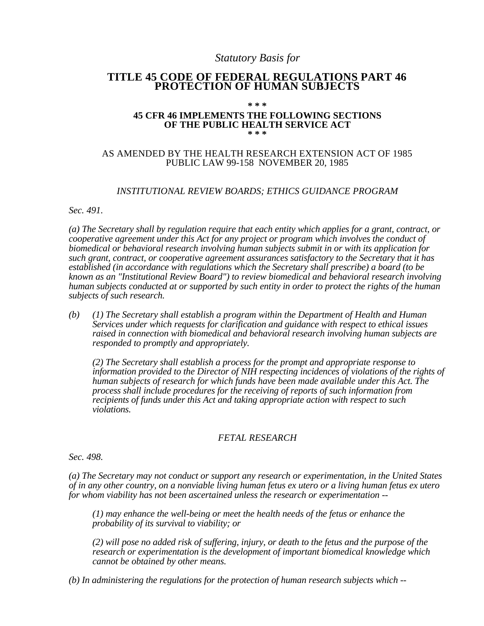# *Statutory Basis for*

# **TITLE 45 CODE OF FEDERAL REGULATIONS PART 46 PROTECTION OF HUMAN SUBJECTS**

#### **\* \* \***

#### **45 CFR 46 IMPLEMENTS THE FOLLOWING SECTIONS OF THE PUBLIC HEALTH SERVICE ACT \* \* \***

## AS AMENDED BY THE HEALTH RESEARCH EXTENSION ACT OF 1985 PUBLIC LAW 99-158 NOVEMBER 20, 1985

## *INSTITUTIONAL REVIEW BOARDS; ETHICS GUIDANCE PROGRAM*

*Sec. 491.* 

*(a) The Secretary shall by regulation require that each entity which applies for a grant, contract, or cooperative agreement under this Act for any project or program which involves the conduct of biomedical or behavioral research involving human subjects submit in or with its application for such grant, contract, or cooperative agreement assurances satisfactory to the Secretary that it has established (in accordance with regulations which the Secretary shall prescribe) a board (to be known as an "Institutional Review Board") to review biomedical and behavioral research involving human subjects conducted at or supported by such entity in order to protect the rights of the human subjects of such research.* 

*(b) (1) The Secretary shall establish a program within the Department of Health and Human Services under which requests for clarification and guidance with respect to ethical issues raised in connection with biomedical and behavioral research involving human subjects are responded to promptly and appropriately.* 

*(2) The Secretary shall establish a process for the prompt and appropriate response to information provided to the Director of NIH respecting incidences of violations of the rights of human subjects of research for which funds have been made available under this Act. The process shall include procedures for the receiving of reports of such information from recipients of funds under this Act and taking appropriate action with respect to such violations.* 

### *FETAL RESEARCH*

*Sec. 498.* 

*(a) The Secretary may not conduct or support any research or experimentation, in the United States of in any other country, on a nonviable living human fetus ex utero or a living human fetus ex utero for whom viability has not been ascertained unless the research or experimentation -*

*(1) may enhance the well-being or meet the health needs of the fetus or enhance the probability of its survival to viability; or* 

*(2) will pose no added risk of suffering, injury, or death to the fetus and the purpose of the research or experimentation is the development of important biomedical knowledge which cannot be obtained by other means.* 

*(b) In administering the regulations for the protection of human research subjects which -*